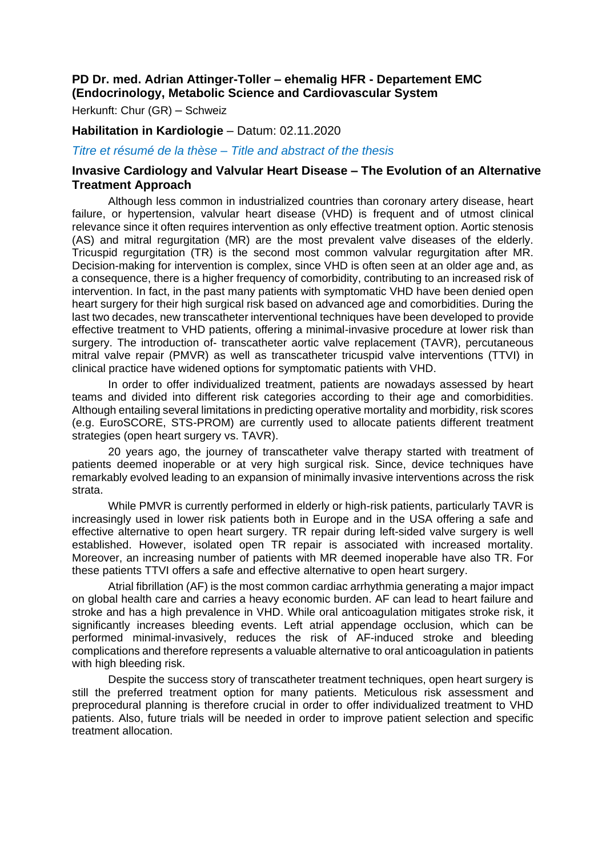# **PD Dr. med. Adrian Attinger-Toller – ehemalig HFR - Departement EMC (Endocrinology, Metabolic Science and Cardiovascular System**

Herkunft: Chur (GR) – Schweiz

#### **Habilitation in Kardiologie** – Datum: 02.11.2020

*Titre et résumé de la thèse – Title and abstract of the thesis*

## **Invasive Cardiology and Valvular Heart Disease – The Evolution of an Alternative Treatment Approach**

Although less common in industrialized countries than coronary artery disease, heart failure, or hypertension, valvular heart disease (VHD) is frequent and of utmost clinical relevance since it often requires intervention as only effective treatment option. Aortic stenosis (AS) and mitral regurgitation (MR) are the most prevalent valve diseases of the elderly. Tricuspid regurgitation (TR) is the second most common valvular regurgitation after MR. Decision-making for intervention is complex, since VHD is often seen at an older age and, as a consequence, there is a higher frequency of comorbidity, contributing to an increased risk of intervention. In fact, in the past many patients with symptomatic VHD have been denied open heart surgery for their high surgical risk based on advanced age and comorbidities. During the last two decades, new transcatheter interventional techniques have been developed to provide effective treatment to VHD patients, offering a minimal-invasive procedure at lower risk than surgery. The introduction of- transcatheter aortic valve replacement (TAVR), percutaneous mitral valve repair (PMVR) as well as transcatheter tricuspid valve interventions (TTVI) in clinical practice have widened options for symptomatic patients with VHD.

In order to offer individualized treatment, patients are nowadays assessed by heart teams and divided into different risk categories according to their age and comorbidities. Although entailing several limitations in predicting operative mortality and morbidity, risk scores (e.g. EuroSCORE, STS-PROM) are currently used to allocate patients different treatment strategies (open heart surgery vs. TAVR).

20 years ago, the journey of transcatheter valve therapy started with treatment of patients deemed inoperable or at very high surgical risk. Since, device techniques have remarkably evolved leading to an expansion of minimally invasive interventions across the risk strata.

While PMVR is currently performed in elderly or high-risk patients, particularly TAVR is increasingly used in lower risk patients both in Europe and in the USA offering a safe and effective alternative to open heart surgery. TR repair during left-sided valve surgery is well established. However, isolated open TR repair is associated with increased mortality. Moreover, an increasing number of patients with MR deemed inoperable have also TR. For these patients TTVI offers a safe and effective alternative to open heart surgery.

Atrial fibrillation (AF) is the most common cardiac arrhythmia generating a major impact on global health care and carries a heavy economic burden. AF can lead to heart failure and stroke and has a high prevalence in VHD. While oral anticoagulation mitigates stroke risk, it significantly increases bleeding events. Left atrial appendage occlusion, which can be performed minimal-invasively, reduces the risk of AF-induced stroke and bleeding complications and therefore represents a valuable alternative to oral anticoagulation in patients with high bleeding risk.

Despite the success story of transcatheter treatment techniques, open heart surgery is still the preferred treatment option for many patients. Meticulous risk assessment and preprocedural planning is therefore crucial in order to offer individualized treatment to VHD patients. Also, future trials will be needed in order to improve patient selection and specific treatment allocation.